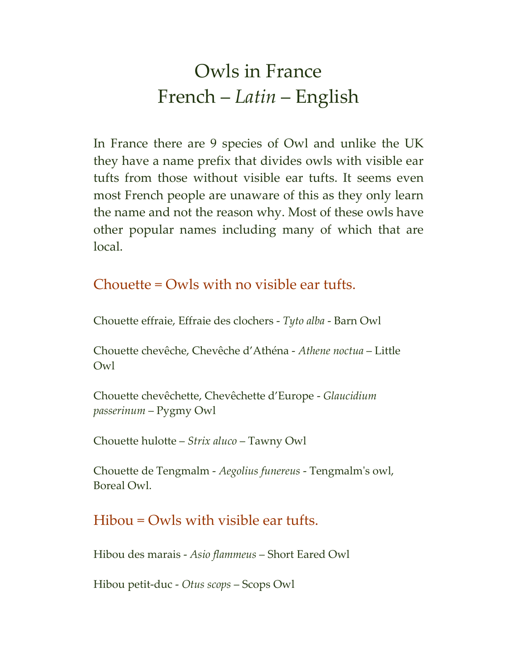## Owls in France French – *Latin* – English

In France there are 9 species of Owl and unlike the UK they have a name prefix that divides owls with visible ear tufts from those without visible ear tufts. It seems even most French people are unaware of this as they only learn the name and not the reason why. Most of these owls have other popular names including many of which that are local.

## Chouette = Owls with no visible ear tufts.

Chouette effraie, Effraie des clochers - *Tyto alba* - Barn Owl

Chouette chevêche, Chevêche d'Athéna - *Athene noctua* – Little Owl

Chouette chevêchette, Chevêchette d'Europe - *Glaucidium passerinum* – Pygmy Owl

Chouette hulotte – *Strix aluco* – Tawny Owl

Chouette de Tengmalm - *Aegolius funereus* - Tengmalm's owl, Boreal Owl.

## Hibou = Owls with visible ear tufts.

Hibou des marais - *Asio flammeus* – Short Eared Owl

Hibou petit-duc - *Otus scops* – Scops Owl